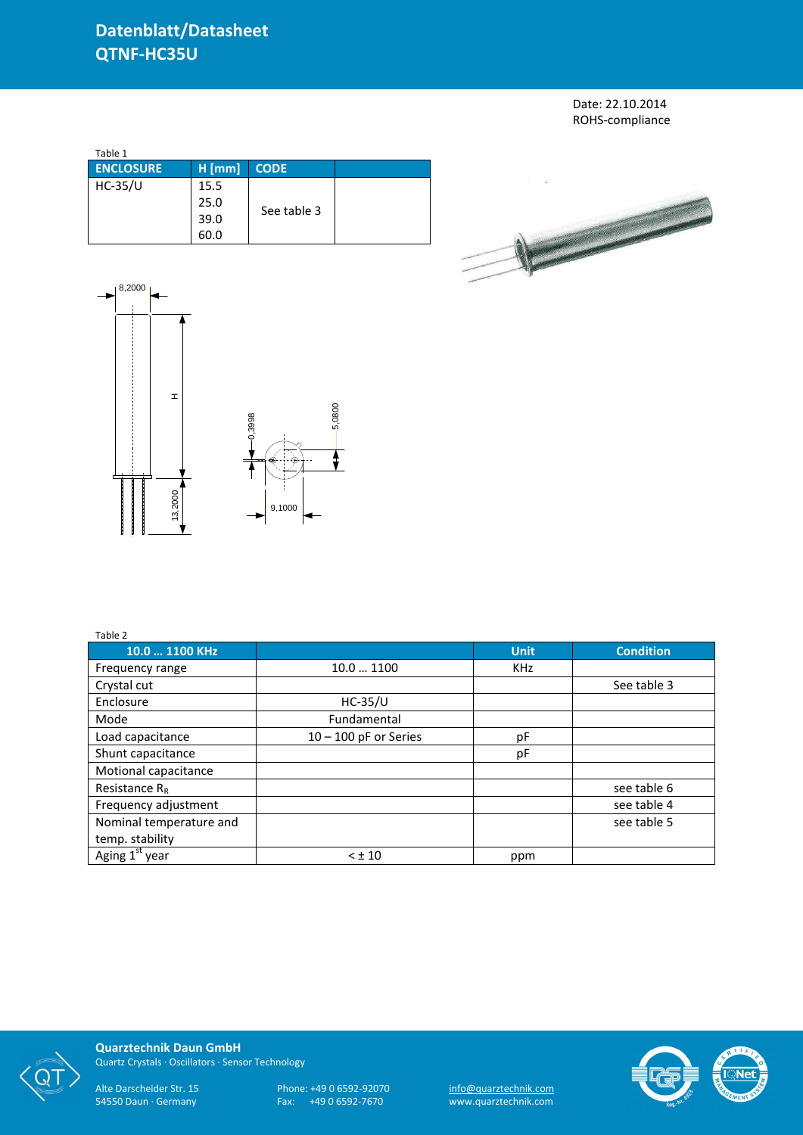## **Datenblatt/Datasheet QTNF-HC35U**

Date: 22.10.2014 ROHS-compliance

| Table 1          |          |             |  |
|------------------|----------|-------------|--|
| <b>ENCLOSURE</b> | $H$ [mm] | <b>CODE</b> |  |
| $HC-35/U$        | 15.5     |             |  |
|                  | 25.0     |             |  |
|                  | 39.0     | See table 3 |  |
|                  | 60.0     |             |  |





| Table 2                    |                         |             |                  |
|----------------------------|-------------------------|-------------|------------------|
| 10.0  1100 KHz             |                         | <b>Unit</b> | <b>Condition</b> |
| Frequency range            | 10.0  1100              | <b>KHz</b>  |                  |
| Crystal cut                |                         |             | See table 3      |
| Enclosure                  | $HC-35/U$               |             |                  |
| Mode                       | Fundamental             |             |                  |
| Load capacitance           | $10 - 100$ pF or Series | рF          |                  |
| Shunt capacitance          |                         | pF          |                  |
| Motional capacitance       |                         |             |                  |
| Resistance $R_R$           |                         |             | see table 6      |
| Frequency adjustment       |                         |             | see table 4      |
| Nominal temperature and    |                         |             | see table 5      |
| temp. stability            |                         |             |                  |
| Aging 1 <sup>st</sup> year | $< \pm 10$              | ppm         |                  |



**Quarztechnik Daun GmbH** Quartz Crystals · Oscillators · Sensor Technology

Alte Darscheider Str. 15 Phone: +49 0 6592-92070 <u>info@quarztechnik.com</u> 54550 Daun · Germany Fax: +49 0 6592-7670 www.quarztechnik.com